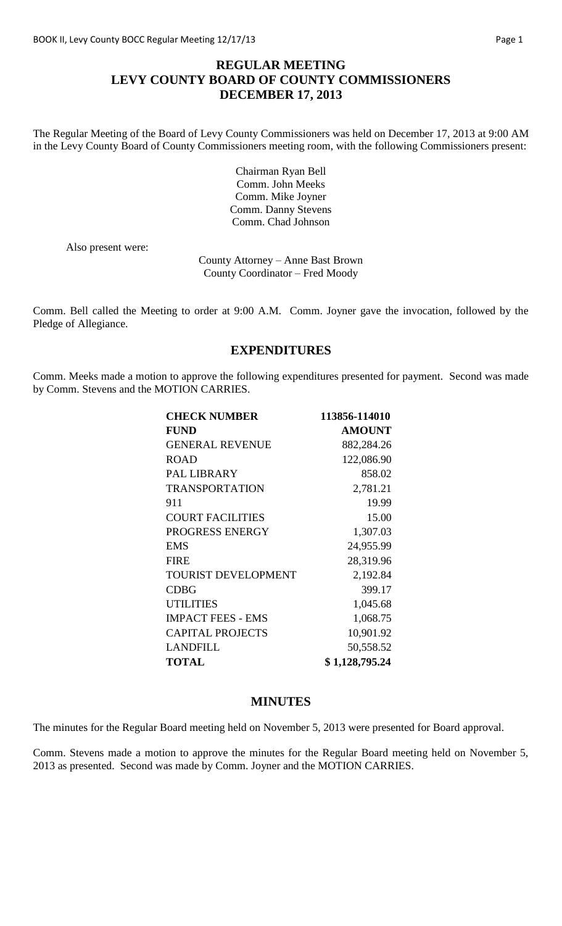# **REGULAR MEETING LEVY COUNTY BOARD OF COUNTY COMMISSIONERS DECEMBER 17, 2013**

The Regular Meeting of the Board of Levy County Commissioners was held on December 17, 2013 at 9:00 AM in the Levy County Board of County Commissioners meeting room, with the following Commissioners present:

> Chairman Ryan Bell Comm. John Meeks Comm. Mike Joyner Comm. Danny Stevens Comm. Chad Johnson

Also present were:

County Attorney – Anne Bast Brown County Coordinator – Fred Moody

Comm. Bell called the Meeting to order at 9:00 A.M. Comm. Joyner gave the invocation, followed by the Pledge of Allegiance.

### **EXPENDITURES**

Comm. Meeks made a motion to approve the following expenditures presented for payment. Second was made by Comm. Stevens and the MOTION CARRIES.

| <b>CHECK NUMBER</b>        | 113856-114010  |
|----------------------------|----------------|
| <b>FUND</b>                | <b>AMOUNT</b>  |
| <b>GENERAL REVENUE</b>     | 882,284.26     |
| <b>ROAD</b>                | 122,086.90     |
| <b>PAL LIBRARY</b>         | 858.02         |
| <b>TRANSPORTATION</b>      | 2,781.21       |
| 911                        | 19.99          |
| <b>COURT FACILITIES</b>    | 15.00          |
| PROGRESS ENERGY            | 1,307.03       |
| <b>EMS</b>                 | 24,955.99      |
| <b>FIRE</b>                | 28,319.96      |
| <b>TOURIST DEVELOPMENT</b> | 2,192.84       |
| <b>CDBG</b>                | 399.17         |
| <b>UTILITIES</b>           | 1,045.68       |
| <b>IMPACT FEES - EMS</b>   | 1,068.75       |
| <b>CAPITAL PROJECTS</b>    | 10,901.92      |
| LANDFILL                   | 50,558.52      |
| <b>TOTAL</b>               | \$1,128,795.24 |

### **MINUTES**

The minutes for the Regular Board meeting held on November 5, 2013 were presented for Board approval.

Comm. Stevens made a motion to approve the minutes for the Regular Board meeting held on November 5, 2013 as presented. Second was made by Comm. Joyner and the MOTION CARRIES.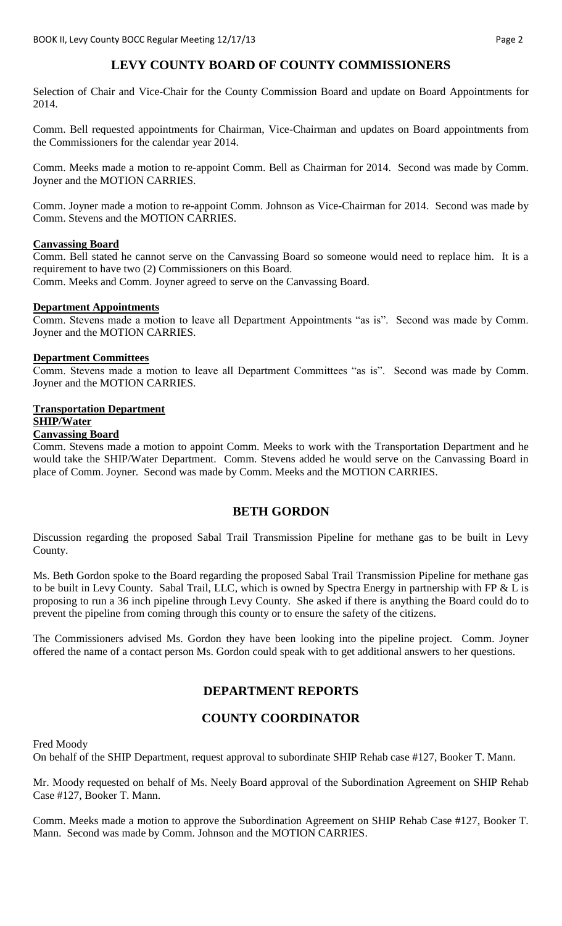# **LEVY COUNTY BOARD OF COUNTY COMMISSIONERS**

Selection of Chair and Vice-Chair for the County Commission Board and update on Board Appointments for 2014.

Comm. Bell requested appointments for Chairman, Vice-Chairman and updates on Board appointments from the Commissioners for the calendar year 2014.

Comm. Meeks made a motion to re-appoint Comm. Bell as Chairman for 2014. Second was made by Comm. Joyner and the MOTION CARRIES.

Comm. Joyner made a motion to re-appoint Comm. Johnson as Vice-Chairman for 2014. Second was made by Comm. Stevens and the MOTION CARRIES.

#### **Canvassing Board**

Comm. Bell stated he cannot serve on the Canvassing Board so someone would need to replace him. It is a requirement to have two (2) Commissioners on this Board.

Comm. Meeks and Comm. Joyner agreed to serve on the Canvassing Board.

#### **Department Appointments**

Comm. Stevens made a motion to leave all Department Appointments "as is". Second was made by Comm. Joyner and the MOTION CARRIES.

#### **Department Committees**

Comm. Stevens made a motion to leave all Department Committees "as is". Second was made by Comm. Joyner and the MOTION CARRIES.

### **Transportation Department SHIP/Water**

### **Canvassing Board**

Comm. Stevens made a motion to appoint Comm. Meeks to work with the Transportation Department and he would take the SHIP/Water Department. Comm. Stevens added he would serve on the Canvassing Board in place of Comm. Joyner. Second was made by Comm. Meeks and the MOTION CARRIES.

#### **BETH GORDON**

Discussion regarding the proposed Sabal Trail Transmission Pipeline for methane gas to be built in Levy County.

Ms. Beth Gordon spoke to the Board regarding the proposed Sabal Trail Transmission Pipeline for methane gas to be built in Levy County. Sabal Trail, LLC, which is owned by Spectra Energy in partnership with FP & L is proposing to run a 36 inch pipeline through Levy County. She asked if there is anything the Board could do to prevent the pipeline from coming through this county or to ensure the safety of the citizens.

The Commissioners advised Ms. Gordon they have been looking into the pipeline project. Comm. Joyner offered the name of a contact person Ms. Gordon could speak with to get additional answers to her questions.

# **DEPARTMENT REPORTS**

# **COUNTY COORDINATOR**

Fred Moody

On behalf of the SHIP Department, request approval to subordinate SHIP Rehab case #127, Booker T. Mann.

Mr. Moody requested on behalf of Ms. Neely Board approval of the Subordination Agreement on SHIP Rehab Case #127, Booker T. Mann.

Comm. Meeks made a motion to approve the Subordination Agreement on SHIP Rehab Case #127, Booker T. Mann. Second was made by Comm. Johnson and the MOTION CARRIES.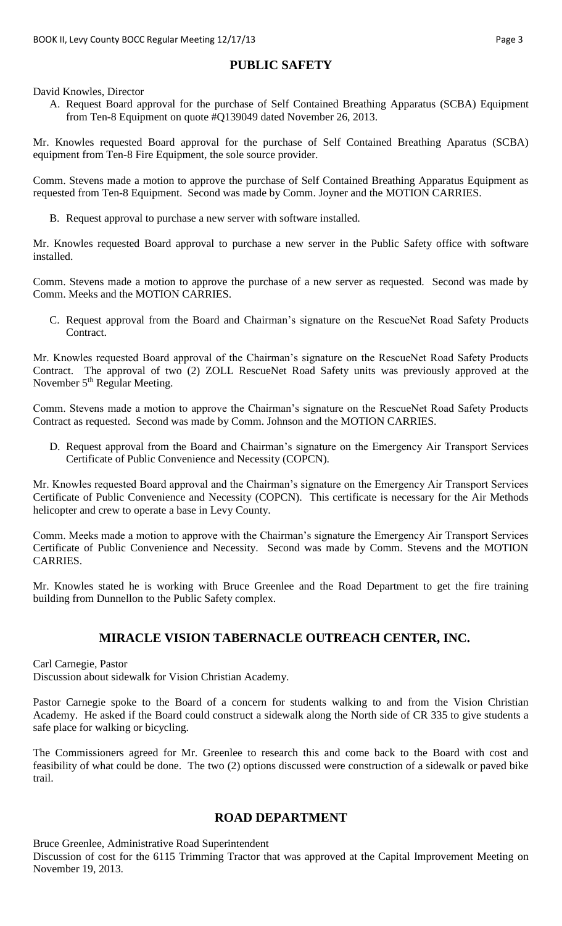# **PUBLIC SAFETY**

David Knowles, Director

A. Request Board approval for the purchase of Self Contained Breathing Apparatus (SCBA) Equipment from Ten-8 Equipment on quote #Q139049 dated November 26, 2013.

Mr. Knowles requested Board approval for the purchase of Self Contained Breathing Aparatus (SCBA) equipment from Ten-8 Fire Equipment, the sole source provider.

Comm. Stevens made a motion to approve the purchase of Self Contained Breathing Apparatus Equipment as requested from Ten-8 Equipment. Second was made by Comm. Joyner and the MOTION CARRIES.

B. Request approval to purchase a new server with software installed.

Mr. Knowles requested Board approval to purchase a new server in the Public Safety office with software installed.

Comm. Stevens made a motion to approve the purchase of a new server as requested. Second was made by Comm. Meeks and the MOTION CARRIES.

C. Request approval from the Board and Chairman's signature on the RescueNet Road Safety Products Contract.

Mr. Knowles requested Board approval of the Chairman's signature on the RescueNet Road Safety Products Contract. The approval of two (2) ZOLL RescueNet Road Safety units was previously approved at the November 5<sup>th</sup> Regular Meeting.

Comm. Stevens made a motion to approve the Chairman's signature on the RescueNet Road Safety Products Contract as requested. Second was made by Comm. Johnson and the MOTION CARRIES.

D. Request approval from the Board and Chairman's signature on the Emergency Air Transport Services Certificate of Public Convenience and Necessity (COPCN).

Mr. Knowles requested Board approval and the Chairman's signature on the Emergency Air Transport Services Certificate of Public Convenience and Necessity (COPCN). This certificate is necessary for the Air Methods helicopter and crew to operate a base in Levy County.

Comm. Meeks made a motion to approve with the Chairman's signature the Emergency Air Transport Services Certificate of Public Convenience and Necessity. Second was made by Comm. Stevens and the MOTION CARRIES.

Mr. Knowles stated he is working with Bruce Greenlee and the Road Department to get the fire training building from Dunnellon to the Public Safety complex.

# **MIRACLE VISION TABERNACLE OUTREACH CENTER, INC.**

Carl Carnegie, Pastor

Discussion about sidewalk for Vision Christian Academy.

Pastor Carnegie spoke to the Board of a concern for students walking to and from the Vision Christian Academy. He asked if the Board could construct a sidewalk along the North side of CR 335 to give students a safe place for walking or bicycling.

The Commissioners agreed for Mr. Greenlee to research this and come back to the Board with cost and feasibility of what could be done. The two (2) options discussed were construction of a sidewalk or paved bike trail.

# **ROAD DEPARTMENT**

Bruce Greenlee, Administrative Road Superintendent

Discussion of cost for the 6115 Trimming Tractor that was approved at the Capital Improvement Meeting on November 19, 2013.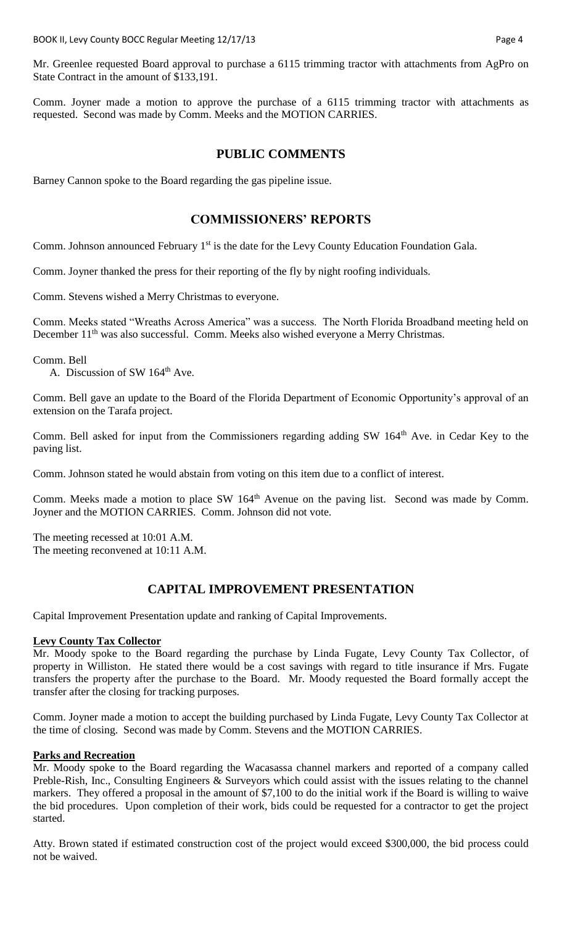Mr. Greenlee requested Board approval to purchase a 6115 trimming tractor with attachments from AgPro on State Contract in the amount of \$133,191.

Comm. Joyner made a motion to approve the purchase of a 6115 trimming tractor with attachments as requested. Second was made by Comm. Meeks and the MOTION CARRIES.

### **PUBLIC COMMENTS**

Barney Cannon spoke to the Board regarding the gas pipeline issue.

## **COMMISSIONERS' REPORTS**

Comm. Johnson announced February 1<sup>st</sup> is the date for the Levy County Education Foundation Gala.

Comm. Joyner thanked the press for their reporting of the fly by night roofing individuals.

Comm. Stevens wished a Merry Christmas to everyone.

Comm. Meeks stated "Wreaths Across America" was a success. The North Florida Broadband meeting held on December 11<sup>th</sup> was also successful. Comm. Meeks also wished everyone a Merry Christmas.

Comm. Bell

A. Discussion of SW 164<sup>th</sup> Ave.

Comm. Bell gave an update to the Board of the Florida Department of Economic Opportunity's approval of an extension on the Tarafa project.

Comm. Bell asked for input from the Commissioners regarding adding SW 164<sup>th</sup> Ave. in Cedar Key to the paving list.

Comm. Johnson stated he would abstain from voting on this item due to a conflict of interest.

Comm. Meeks made a motion to place SW 164<sup>th</sup> Avenue on the paving list. Second was made by Comm. Joyner and the MOTION CARRIES. Comm. Johnson did not vote.

The meeting recessed at 10:01 A.M. The meeting reconvened at 10:11 A.M.

# **CAPITAL IMPROVEMENT PRESENTATION**

Capital Improvement Presentation update and ranking of Capital Improvements.

#### **Levy County Tax Collector**

Mr. Moody spoke to the Board regarding the purchase by Linda Fugate, Levy County Tax Collector, of property in Williston. He stated there would be a cost savings with regard to title insurance if Mrs. Fugate transfers the property after the purchase to the Board. Mr. Moody requested the Board formally accept the transfer after the closing for tracking purposes.

Comm. Joyner made a motion to accept the building purchased by Linda Fugate, Levy County Tax Collector at the time of closing. Second was made by Comm. Stevens and the MOTION CARRIES.

#### **Parks and Recreation**

Mr. Moody spoke to the Board regarding the Wacasassa channel markers and reported of a company called Preble-Rish, Inc., Consulting Engineers & Surveyors which could assist with the issues relating to the channel markers. They offered a proposal in the amount of \$7,100 to do the initial work if the Board is willing to waive the bid procedures. Upon completion of their work, bids could be requested for a contractor to get the project started.

Atty. Brown stated if estimated construction cost of the project would exceed \$300,000, the bid process could not be waived.